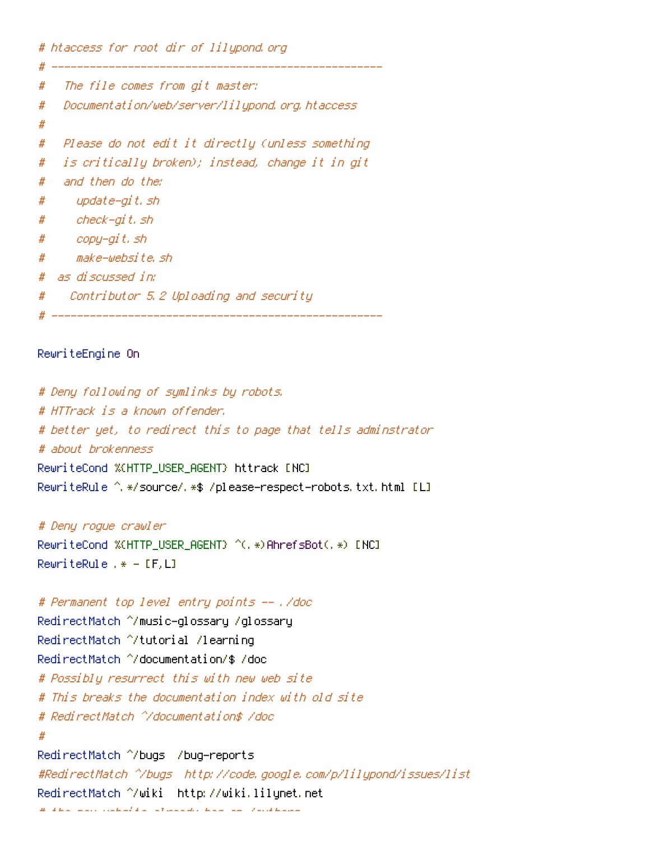# htaccess for root dir of lilypond.org

# ----------------------------------------------------

```
# The file comes from git master:
# Documentation/web/server/lilypond.org.htaccess
#
# Please do not edit it directly (unless something
# is critically broken); instead, change it in git
# and then do the:
# update-git.sh
# check-git.sh
# copy-git.sh
# make-website.sh
# as discussed in:
# Contributor 5.2 Uploading and security
# ----------------------------------------------------
```
## RewriteEngine On

# Deny following of symlinks by robots. # HTTrack is <sup>a</sup> known offender. # better yet, to redirect this to page that tells adminstrator # about brokenness RewriteCond %{HTTP\_USER\_AGENT} httrack [NC] RewriteRule ^.\*/source/.\*\$ /please-respect-robots.txt.html [L<mark>]</mark>

## # Deny rogue crawler

RewriteCond %(HTTP\_USER\_AGENT) ^(, \*)AhrefsBot(, \*) [NC] RewriteRule .\* - [F,L]

## # Permanent top level entry points -- ./doc

RedirectMatch ^/music-glossary /glossary RedirectMatch ^/tutorial /learning RedirectMatch ^/documentation/\$ /doc # Possibly resurrect this with new web site # This breaks the documentation index with old site # RedirectMatch ^/documentation\$ /doc # RedirectMatch ^/bugs /bug-reports #RedirectMatch ^/bugs http://code.google.com/p/lilypond/issues/list RedirectMatch ^/wiki http://wiki.lilynet.net # the new website already has an /authors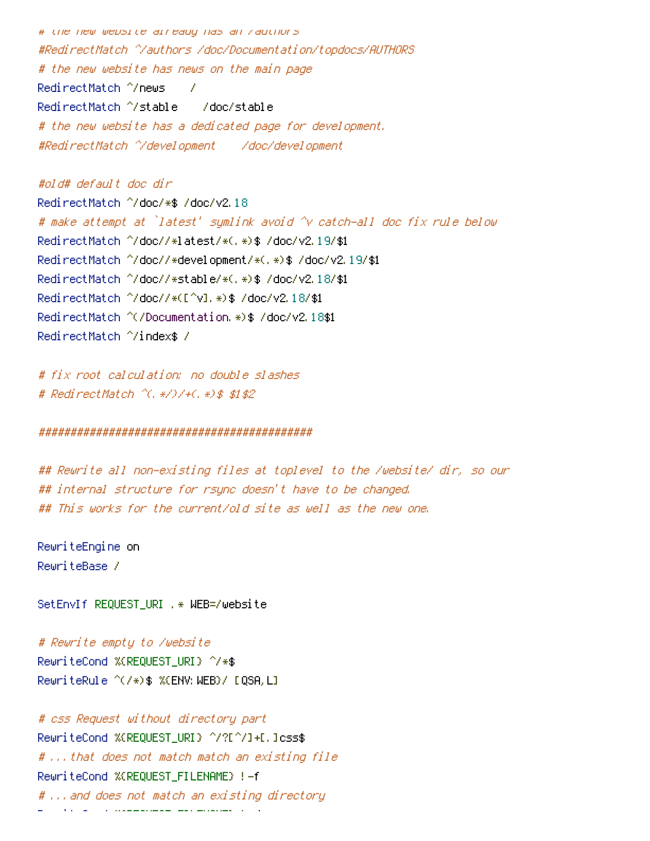# the new website already has an /authors #RedirectMatch ^/authors /doc/Documentation/topdocs/AUTHORS # the new website has news on the main page RedirectMatch ^/news / RedirectMatch ^/stable /doc/stable # the new website has <sup>a</sup> dedicated page for development. #RedirectMatch ^/development /doc/development

#old# default doc dir RedirectMatch ^/doc/\*\$ /doc/v2.18 # make attempt at `latest' symlink avoid ^v catch-all doc fix rule below RedirectMatch ^/doc//\*latest/\*(.\*)\$ /doc/v2.19/\$1 RedirectMatch ^/doc//\*development/\*(.\*)\$ /doc/v2.19/\$1 RedirectMatch ^/doc//\*stable/\*(.\*)\$ /doc/v2.18/\$1 RedirectMatch ^/doc//\*([^v].\*)\$ /doc/v2.18/\$1 RedirectMatch ^(/Documentation.\*)\$ /doc/v2.18\$1 RedirectMatch ^/index\$ /

# fix root calculation: no double slashes # RedirectMatch ^(.\*/)/+(.\*)\$ \$1\$2

## ###########################################

## Rewrite all non-existing files at toplevel to the /website/ dir, so our ## internal structure for rsync doesn't have to be changed. ## This works for the current/old site as well as the new one.

RewriteEngine on RewriteBase /

SetEnvIf REQUEST\_URI .\* WEB=/website

# Rewrite empty to /website RewriteCond %{REQUEST\_URI} ^/\*\$ RewriteRule ^(/\*)\$ %{ENV:WEB}/ [QSA,L]

# css Request without directory part RewriteCond %{REQUEST\_URI} ^/?[^/]+[.]css\$ # ...that does not match match an existing file RewriteCond %{REQUEST\_FILENAME} !-f # ...and does not match an existing directory RewriteConduct % {RewriteConduct # RewriteConduct # RewriteConduct # RewriteConduct # RewriteConduct # RewriteConduct # RewriteConduct # RewriteConduct # RewriteConduct # RewriteConduct # RewriteConduct # RewriteConduct #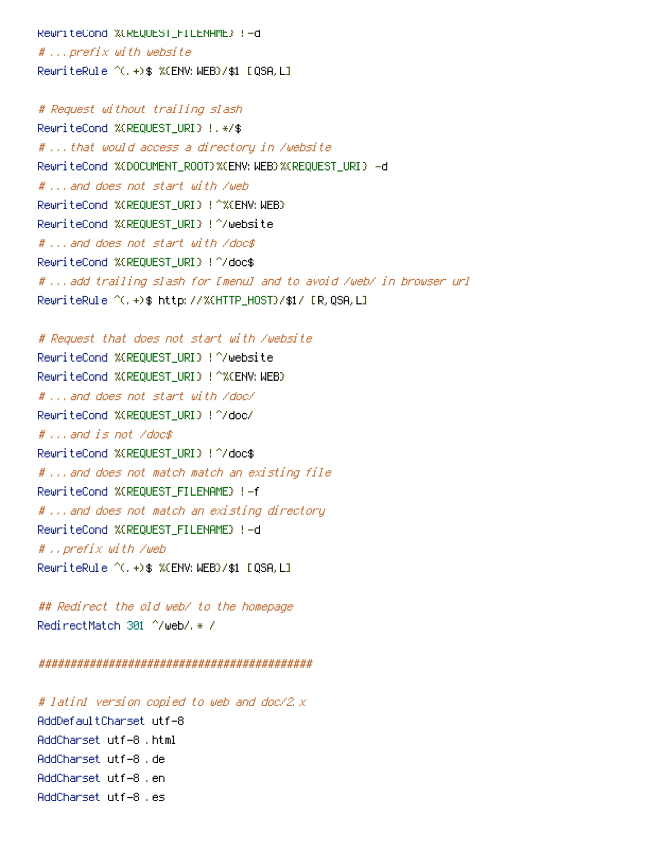RewriteCond %{REQUEST\_FILENAME} !-d # ...prefix with website RewriteRule  $\hat{C}$ . +)\$ %(ENV: WEB)/\$1 [QSA, L]

# Request without trailing slash RewriteCond %{REQUEST\_URI} !.\*/\$ # ...that would access <sup>a</sup> directory in /website RewriteCond %{DOCUMENT\_ROOT}%{ENV: WEB}%{REQUEST\_URI} -d # ...and does not start with /web RewriteCond %{REQUEST\_URI} !^%{ENV: WEB} RewriteCond %{REQUEST\_URI} !^/website # ...and does not start with /doc\$ RewriteCond %{REQUEST\_URI} !^/doc\$ # ...add trailing slash for [menu] and to avoid /web/ in browser url RewriteRule ^(.+)\$ http://%{HTTP\_HOST}/\$1/ [R,QSA,L]

# Request that does not start with /website RewriteCond %{REQUEST\_URI} !^/website RewriteCond %{REQUEST\_URI} !^%{ENV: WEB} # ...and does not start with /doc/ RewriteCond %{REQUEST\_URI} !^/doc/ # ...and is not /doc\$ RewriteCond %{REQUEST\_URI} !^/doc\$ # ...and does not match match an existing file RewriteCond %{REQUEST\_FILENAME} !-f # ...and does not match an existing directory RewriteCond %{REQUEST\_FILENAME} !-d # ..prefix with /web RewriteRule  $\hat{C}$ . +)\$ %(ENV: WEB)/\$1 [QSA, L]

## Redirect the old web/ to the homepage RedirectMatch 301 ^/web/.\* /

###########################################

# latin1 version copied to web and doc/2.x AddDefaultCharset utf-8 AddCharset utf-8 .html AddCharset utf-8 .de AddCharset utf-8 .en AddCharset utf-8 .es